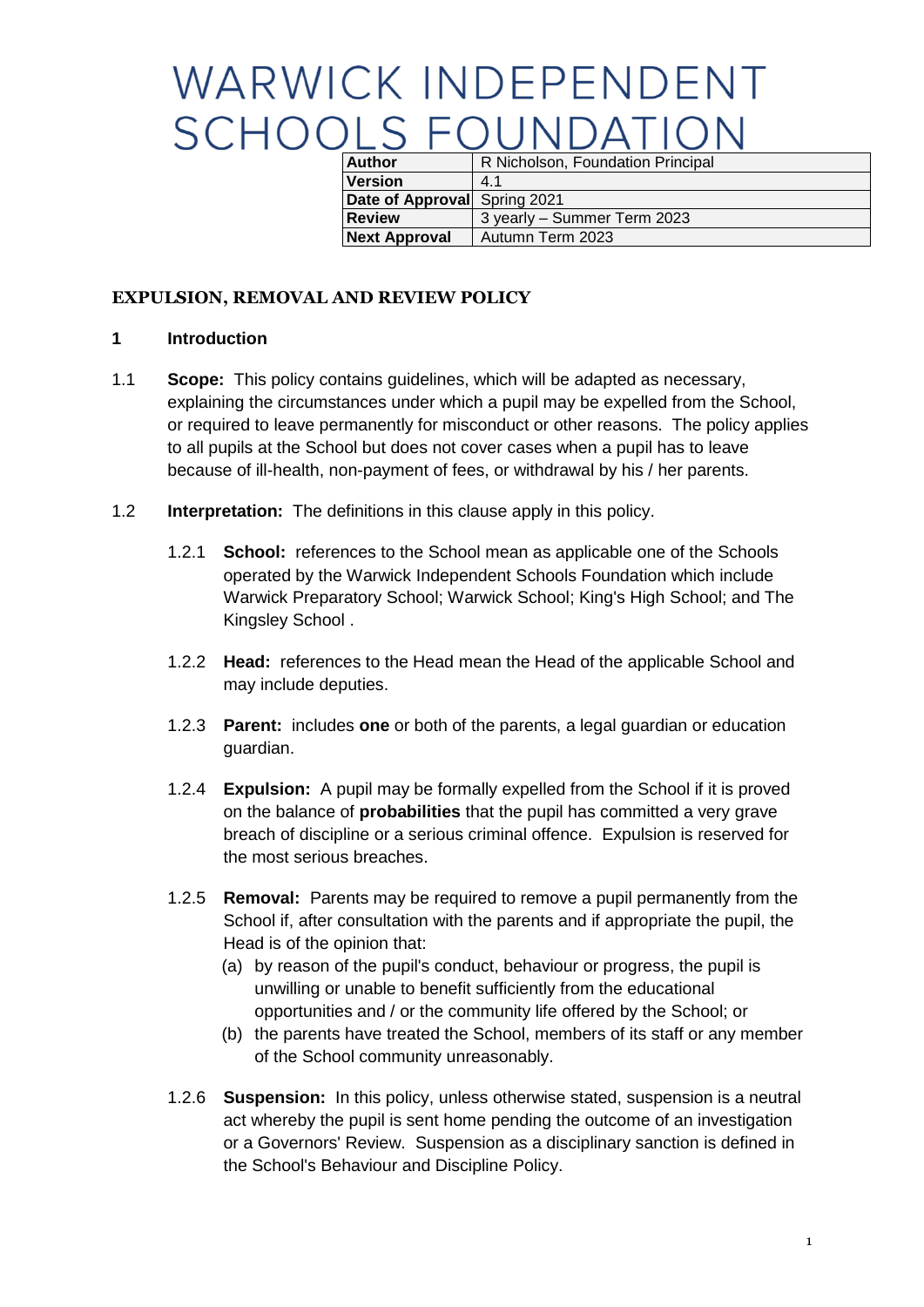# WARWICK INDEPENDENT **SCHOOLS FOUNDATION**

| <b>Author</b>                | R Nicholson, Foundation Principal |
|------------------------------|-----------------------------------|
| <b>Version</b>               | 41                                |
| Date of Approval Spring 2021 |                                   |
| <b>Review</b>                | 3 yearly - Summer Term 2023       |
| <b>Next Approval</b>         | Autumn Term 2023                  |

## **EXPULSION, REMOVAL AND REVIEW POLICY**

#### **1 Introduction**

- 1.1 **Scope:** This policy contains guidelines, which will be adapted as necessary, explaining the circumstances under which a pupil may be expelled from the School, or required to leave permanently for misconduct or other reasons. The policy applies to all pupils at the School but does not cover cases when a pupil has to leave because of ill-health, non-payment of fees, or withdrawal by his / her parents.
- 1.2 **Interpretation:** The definitions in this clause apply in this policy.
	- 1.2.1 **School:** references to the School mean as applicable one of the Schools operated by the Warwick Independent Schools Foundation which include Warwick Preparatory School; Warwick School; King's High School; and The Kingsley School .
	- 1.2.2 **Head:** references to the Head mean the Head of the applicable School and may include deputies.
	- 1.2.3 **Parent:** includes **one** or both of the parents, a legal guardian or education guardian.
	- 1.2.4 **Expulsion:** A pupil may be formally expelled from the School if it is proved on the balance of **probabilities** that the pupil has committed a very grave breach of discipline or a serious criminal offence. Expulsion is reserved for the most serious breaches.
	- 1.2.5 **Removal:** Parents may be required to remove a pupil permanently from the School if, after consultation with the parents and if appropriate the pupil, the Head is of the opinion that:
		- (a) by reason of the pupil's conduct, behaviour or progress, the pupil is unwilling or unable to benefit sufficiently from the educational opportunities and / or the community life offered by the School; or
		- (b) the parents have treated the School, members of its staff or any member of the School community unreasonably.
	- 1.2.6 **Suspension:** In this policy, unless otherwise stated, suspension is a neutral act whereby the pupil is sent home pending the outcome of an investigation or a Governors' Review. Suspension as a disciplinary sanction is defined in the School's Behaviour and Discipline Policy.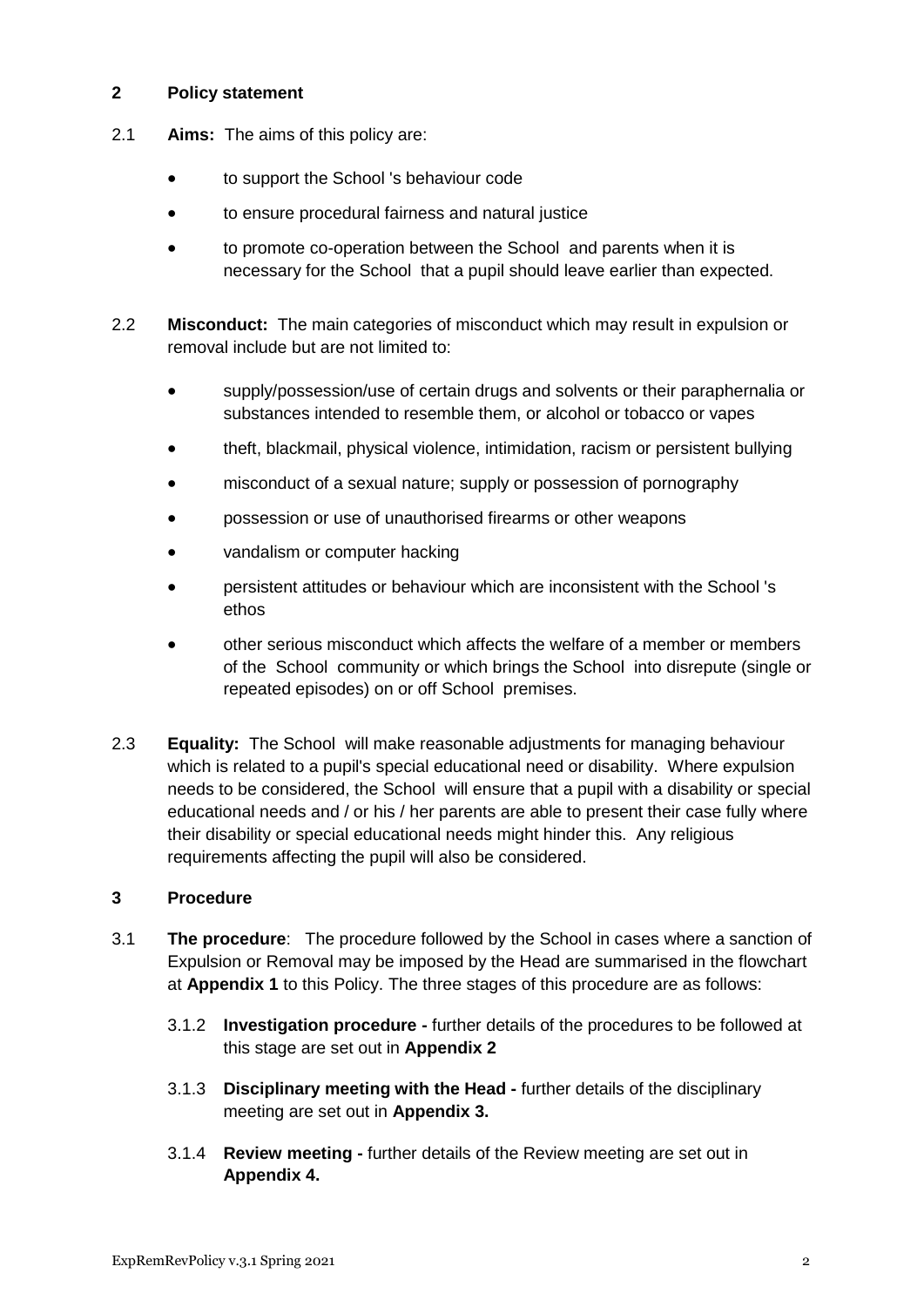## **2 Policy statement**

- 2.1 **Aims:** The aims of this policy are:
	- to support the School 's behaviour code
	- to ensure procedural fairness and natural justice
	- to promote co-operation between the School and parents when it is necessary for the School that a pupil should leave earlier than expected.
- 2.2 **Misconduct:** The main categories of misconduct which may result in expulsion or removal include but are not limited to:
	- supply/possession/use of certain drugs and solvents or their paraphernalia or substances intended to resemble them, or alcohol or tobacco or vapes
	- theft, blackmail, physical violence, intimidation, racism or persistent bullying
	- misconduct of a sexual nature; supply or possession of pornography
	- possession or use of unauthorised firearms or other weapons
	- vandalism or computer hacking
	- persistent attitudes or behaviour which are inconsistent with the School 's ethos
	- other serious misconduct which affects the welfare of a member or members of the School community or which brings the School into disrepute (single or repeated episodes) on or off School premises.
- 2.3 **Equality:** The School will make reasonable adjustments for managing behaviour which is related to a pupil's special educational need or disability. Where expulsion needs to be considered, the School will ensure that a pupil with a disability or special educational needs and / or his / her parents are able to present their case fully where their disability or special educational needs might hinder this. Any religious requirements affecting the pupil will also be considered.

#### **3 Procedure**

- 3.1 **The procedure**: The procedure followed by the School in cases where a sanction of Expulsion or Removal may be imposed by the Head are summarised in the flowchart at **Appendix 1** to this Policy. The three stages of this procedure are as follows:
	- 3.1.2 **Investigation procedure -** further details of the procedures to be followed at this stage are set out in **Appendix 2**
	- 3.1.3 **Disciplinary meeting with the Head -** further details of the disciplinary meeting are set out in **Appendix 3.**
	- 3.1.4 **Review meeting -** further details of the Review meeting are set out in **Appendix 4.**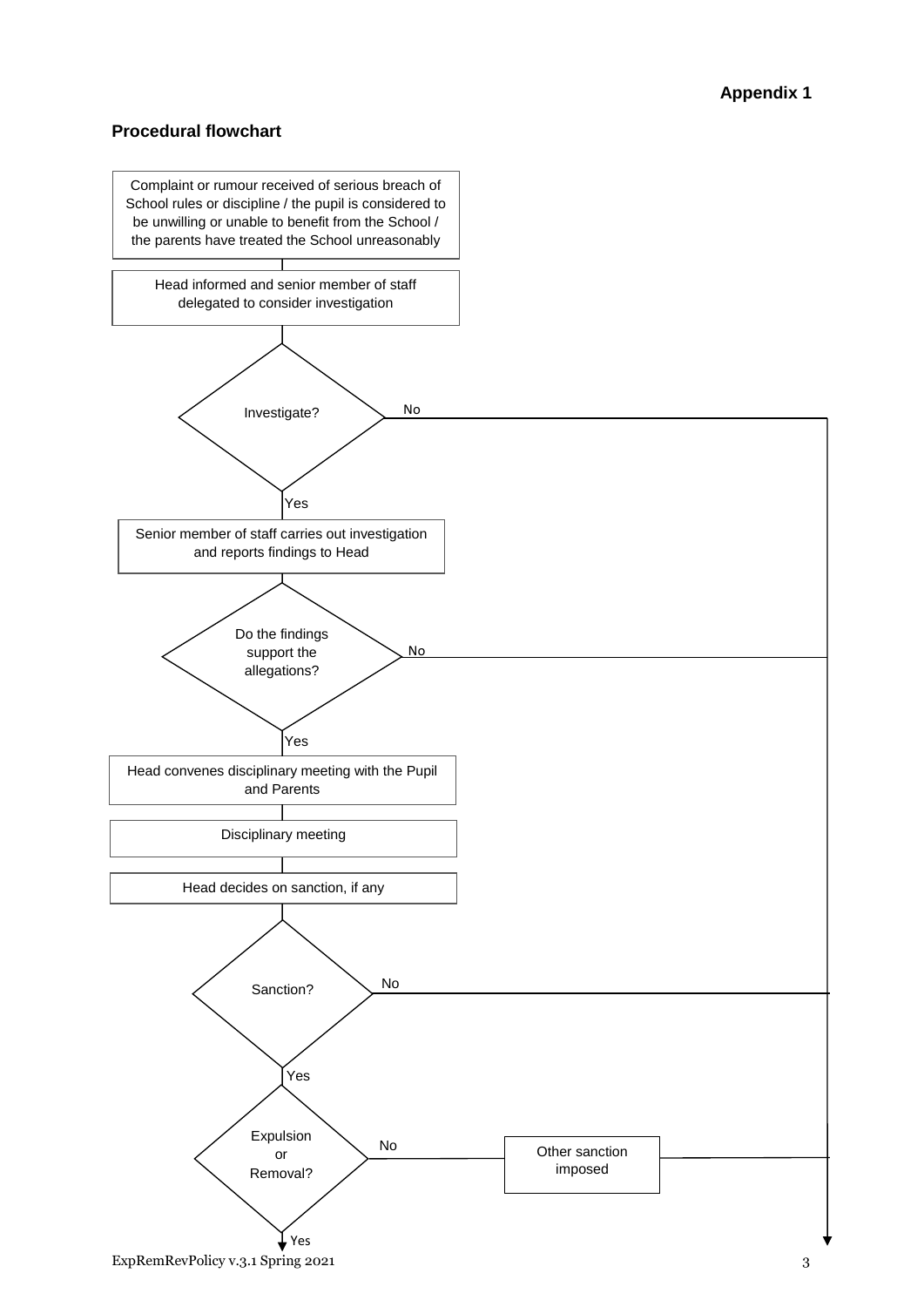## **Procedural flowchart**

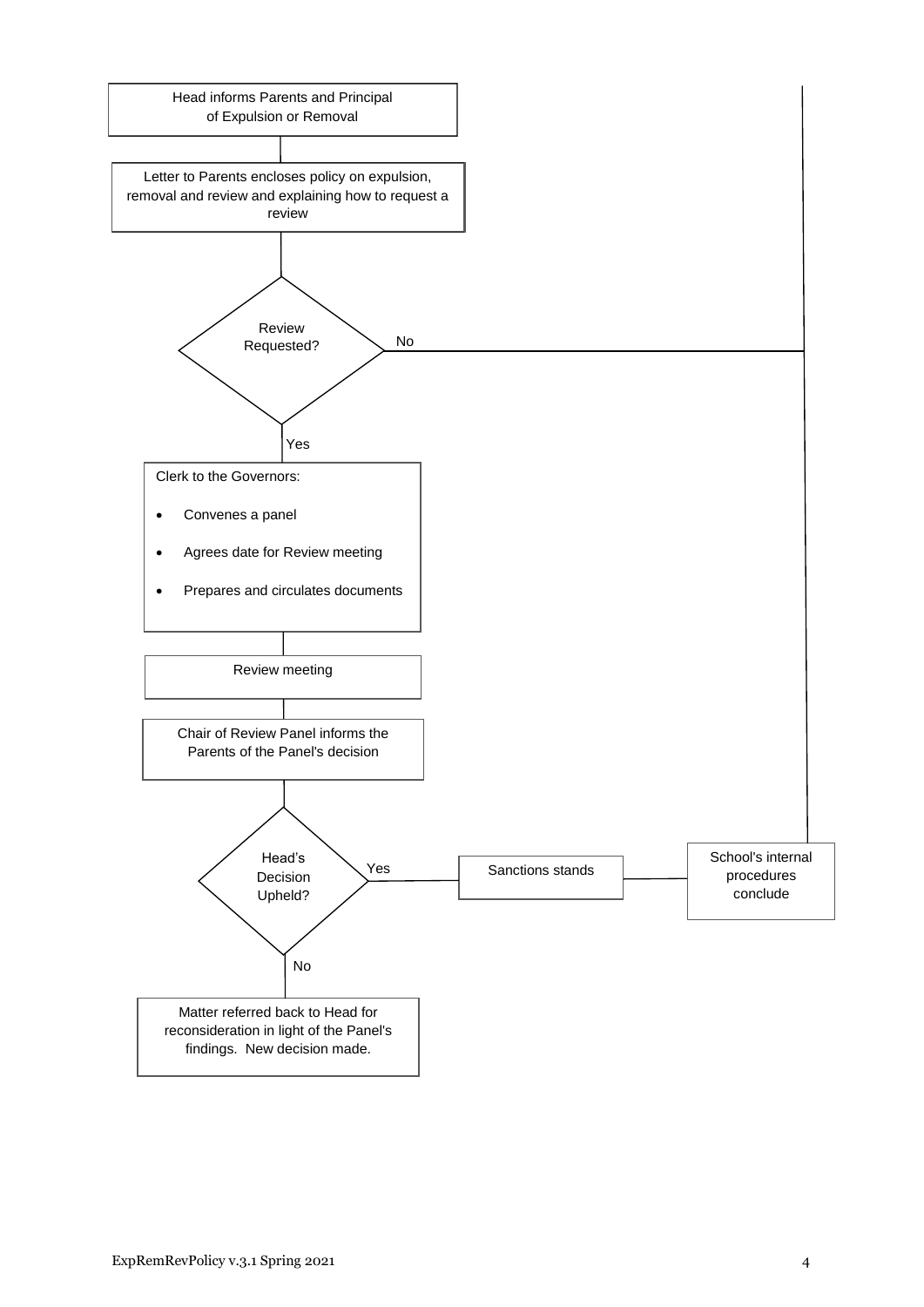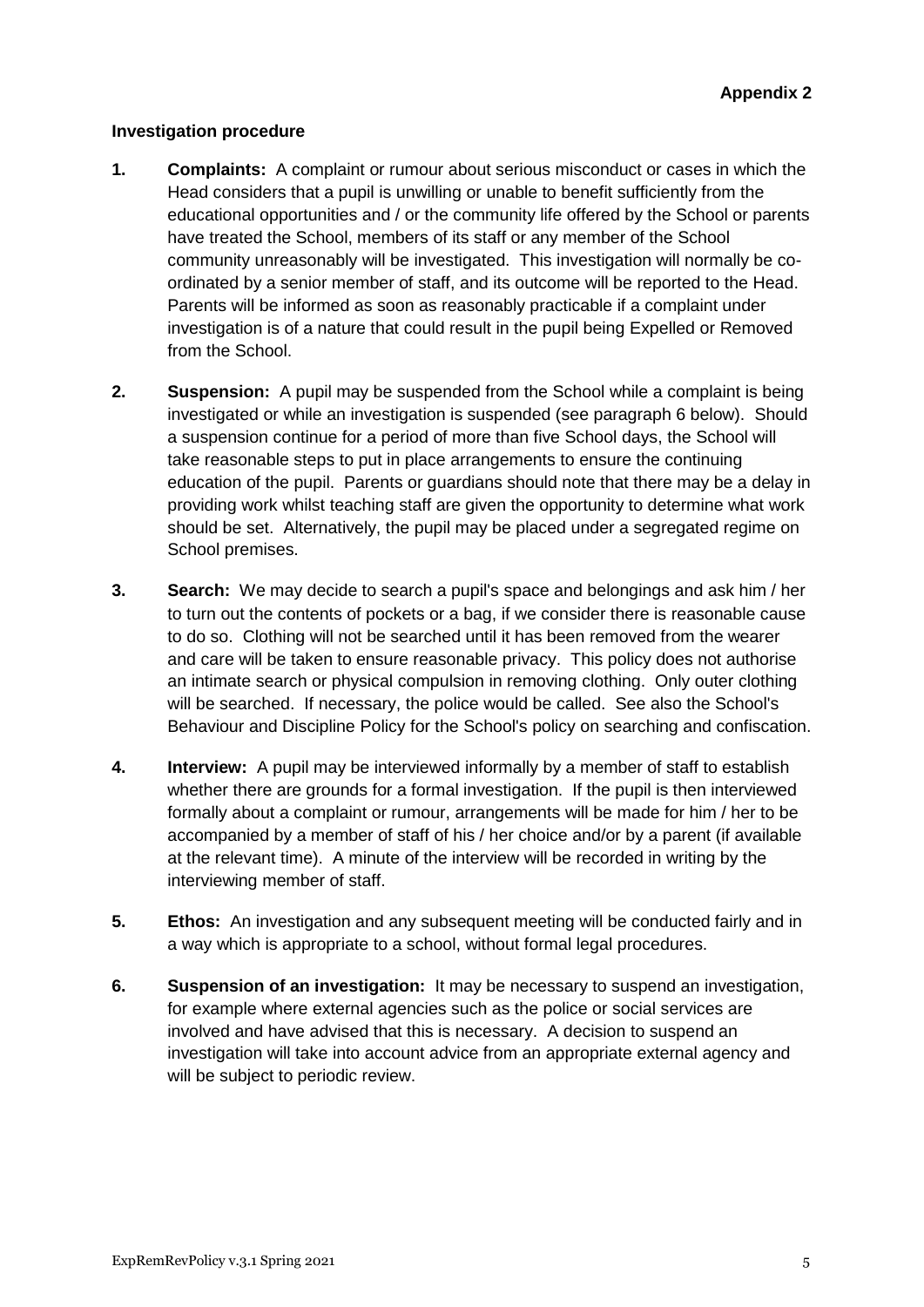#### **Investigation procedure**

- **1. Complaints:** A complaint or rumour about serious misconduct or cases in which the Head considers that a pupil is unwilling or unable to benefit sufficiently from the educational opportunities and / or the community life offered by the School or parents have treated the School, members of its staff or any member of the School community unreasonably will be investigated. This investigation will normally be coordinated by a senior member of staff, and its outcome will be reported to the Head. Parents will be informed as soon as reasonably practicable if a complaint under investigation is of a nature that could result in the pupil being Expelled or Removed from the School.
- **2. Suspension:** A pupil may be suspended from the School while a complaint is being investigated or while an investigation is suspended (see paragraph 6 below). Should a suspension continue for a period of more than five School days, the School will take reasonable steps to put in place arrangements to ensure the continuing education of the pupil. Parents or guardians should note that there may be a delay in providing work whilst teaching staff are given the opportunity to determine what work should be set. Alternatively, the pupil may be placed under a segregated regime on School premises.
- **3. Search:** We may decide to search a pupil's space and belongings and ask him / her to turn out the contents of pockets or a bag, if we consider there is reasonable cause to do so. Clothing will not be searched until it has been removed from the wearer and care will be taken to ensure reasonable privacy. This policy does not authorise an intimate search or physical compulsion in removing clothing. Only outer clothing will be searched. If necessary, the police would be called. See also the School's Behaviour and Discipline Policy for the School's policy on searching and confiscation.
- **4. Interview:** A pupil may be interviewed informally by a member of staff to establish whether there are grounds for a formal investigation. If the pupil is then interviewed formally about a complaint or rumour, arrangements will be made for him / her to be accompanied by a member of staff of his / her choice and/or by a parent (if available at the relevant time). A minute of the interview will be recorded in writing by the interviewing member of staff.
- **5. Ethos:** An investigation and any subsequent meeting will be conducted fairly and in a way which is appropriate to a school, without formal legal procedures.
- **6. Suspension of an investigation:** It may be necessary to suspend an investigation, for example where external agencies such as the police or social services are involved and have advised that this is necessary. A decision to suspend an investigation will take into account advice from an appropriate external agency and will be subject to periodic review.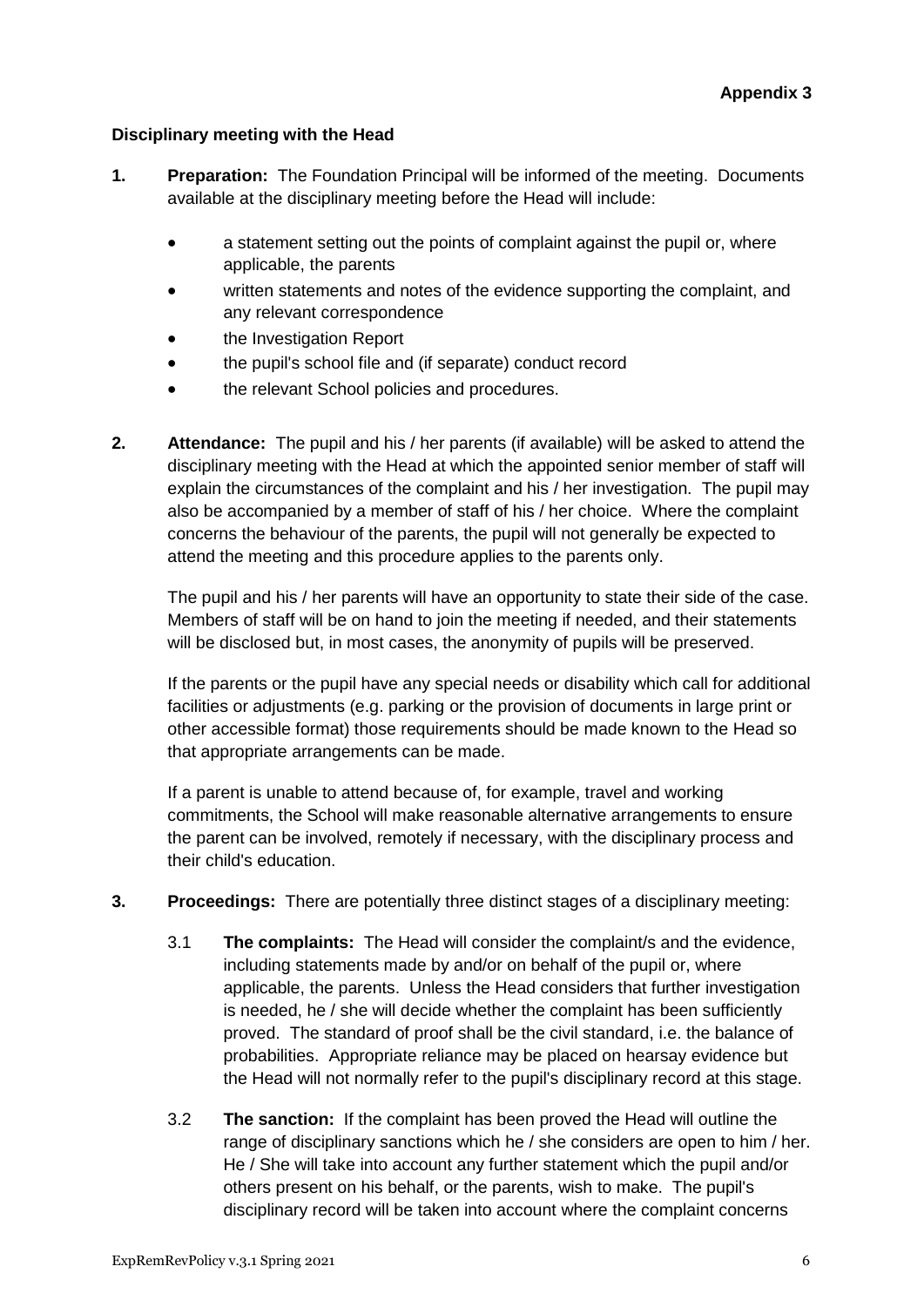## **Disciplinary meeting with the Head**

- **1. Preparation:** The Foundation Principal will be informed of the meeting. Documents available at the disciplinary meeting before the Head will include:
	- a statement setting out the points of complaint against the pupil or, where applicable, the parents
	- written statements and notes of the evidence supporting the complaint, and any relevant correspondence
	- the Investigation Report
	- the pupil's school file and (if separate) conduct record
	- the relevant School policies and procedures.
- **2. Attendance:** The pupil and his / her parents (if available) will be asked to attend the disciplinary meeting with the Head at which the appointed senior member of staff will explain the circumstances of the complaint and his / her investigation. The pupil may also be accompanied by a member of staff of his / her choice. Where the complaint concerns the behaviour of the parents, the pupil will not generally be expected to attend the meeting and this procedure applies to the parents only.

The pupil and his / her parents will have an opportunity to state their side of the case. Members of staff will be on hand to join the meeting if needed, and their statements will be disclosed but, in most cases, the anonymity of pupils will be preserved.

If the parents or the pupil have any special needs or disability which call for additional facilities or adjustments (e.g. parking or the provision of documents in large print or other accessible format) those requirements should be made known to the Head so that appropriate arrangements can be made.

If a parent is unable to attend because of, for example, travel and working commitments, the School will make reasonable alternative arrangements to ensure the parent can be involved, remotely if necessary, with the disciplinary process and their child's education.

- **3. Proceedings:** There are potentially three distinct stages of a disciplinary meeting:
	- 3.1 **The complaints:** The Head will consider the complaint/s and the evidence, including statements made by and/or on behalf of the pupil or, where applicable, the parents. Unless the Head considers that further investigation is needed, he / she will decide whether the complaint has been sufficiently proved. The standard of proof shall be the civil standard, i.e. the balance of probabilities. Appropriate reliance may be placed on hearsay evidence but the Head will not normally refer to the pupil's disciplinary record at this stage.
	- 3.2 **The sanction:** If the complaint has been proved the Head will outline the range of disciplinary sanctions which he / she considers are open to him / her. He / She will take into account any further statement which the pupil and/or others present on his behalf, or the parents, wish to make. The pupil's disciplinary record will be taken into account where the complaint concerns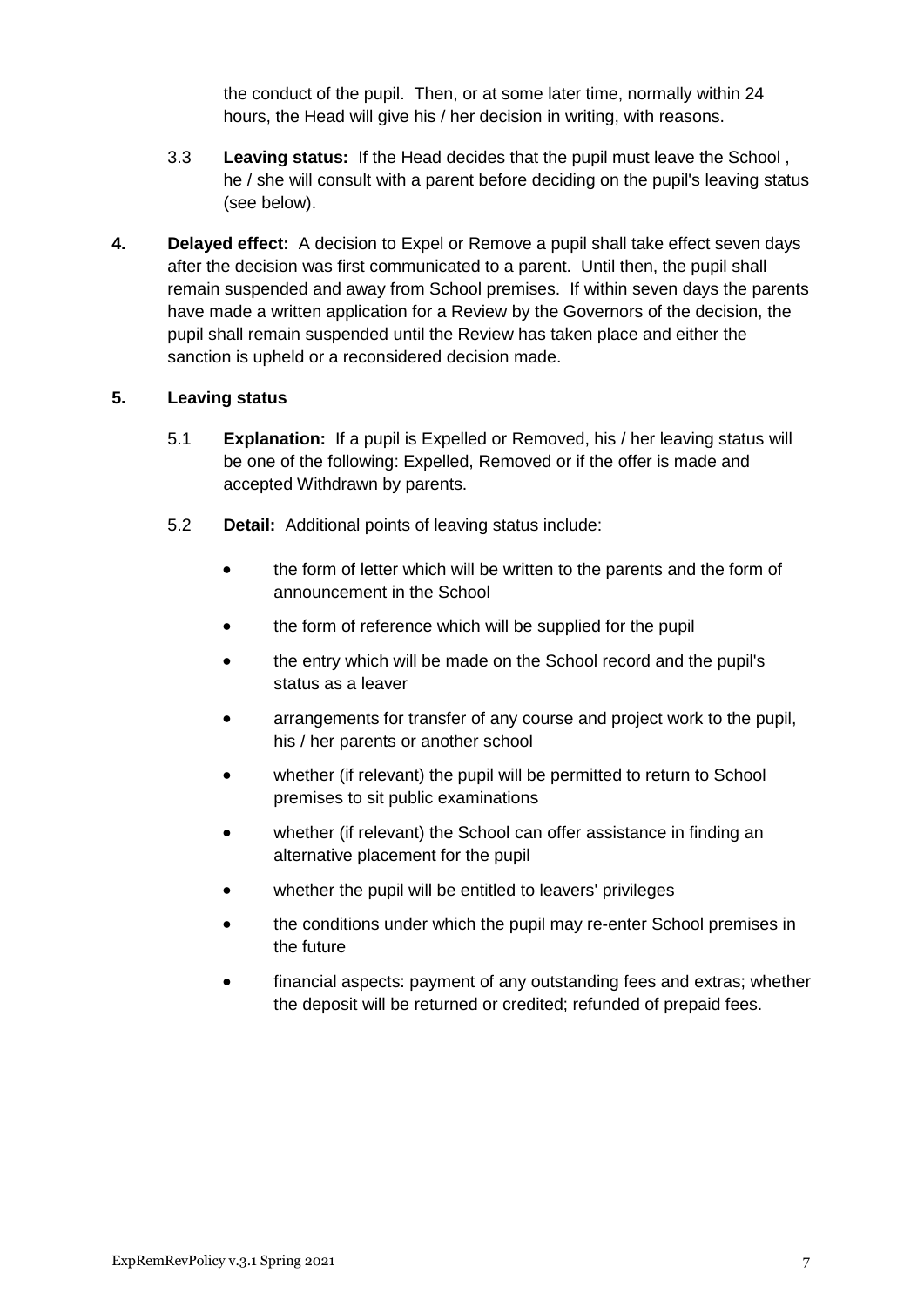the conduct of the pupil. Then, or at some later time, normally within 24 hours, the Head will give his / her decision in writing, with reasons.

- 3.3 **Leaving status:** If the Head decides that the pupil must leave the School , he / she will consult with a parent before deciding on the pupil's leaving status (see below).
- **4. Delayed effect:** A decision to Expel or Remove a pupil shall take effect seven days after the decision was first communicated to a parent. Until then, the pupil shall remain suspended and away from School premises. If within seven days the parents have made a written application for a Review by the Governors of the decision, the pupil shall remain suspended until the Review has taken place and either the sanction is upheld or a reconsidered decision made.

#### **5. Leaving status**

- 5.1 **Explanation:** If a pupil is Expelled or Removed, his / her leaving status will be one of the following: Expelled, Removed or if the offer is made and accepted Withdrawn by parents.
- 5.2 **Detail:** Additional points of leaving status include:
	- the form of letter which will be written to the parents and the form of announcement in the School
	- the form of reference which will be supplied for the pupil
	- the entry which will be made on the School record and the pupil's status as a leaver
	- arrangements for transfer of any course and project work to the pupil, his / her parents or another school
	- whether (if relevant) the pupil will be permitted to return to School premises to sit public examinations
	- whether (if relevant) the School can offer assistance in finding an alternative placement for the pupil
	- whether the pupil will be entitled to leavers' privileges
	- the conditions under which the pupil may re-enter School premises in the future
	- financial aspects: payment of any outstanding fees and extras; whether the deposit will be returned or credited; refunded of prepaid fees.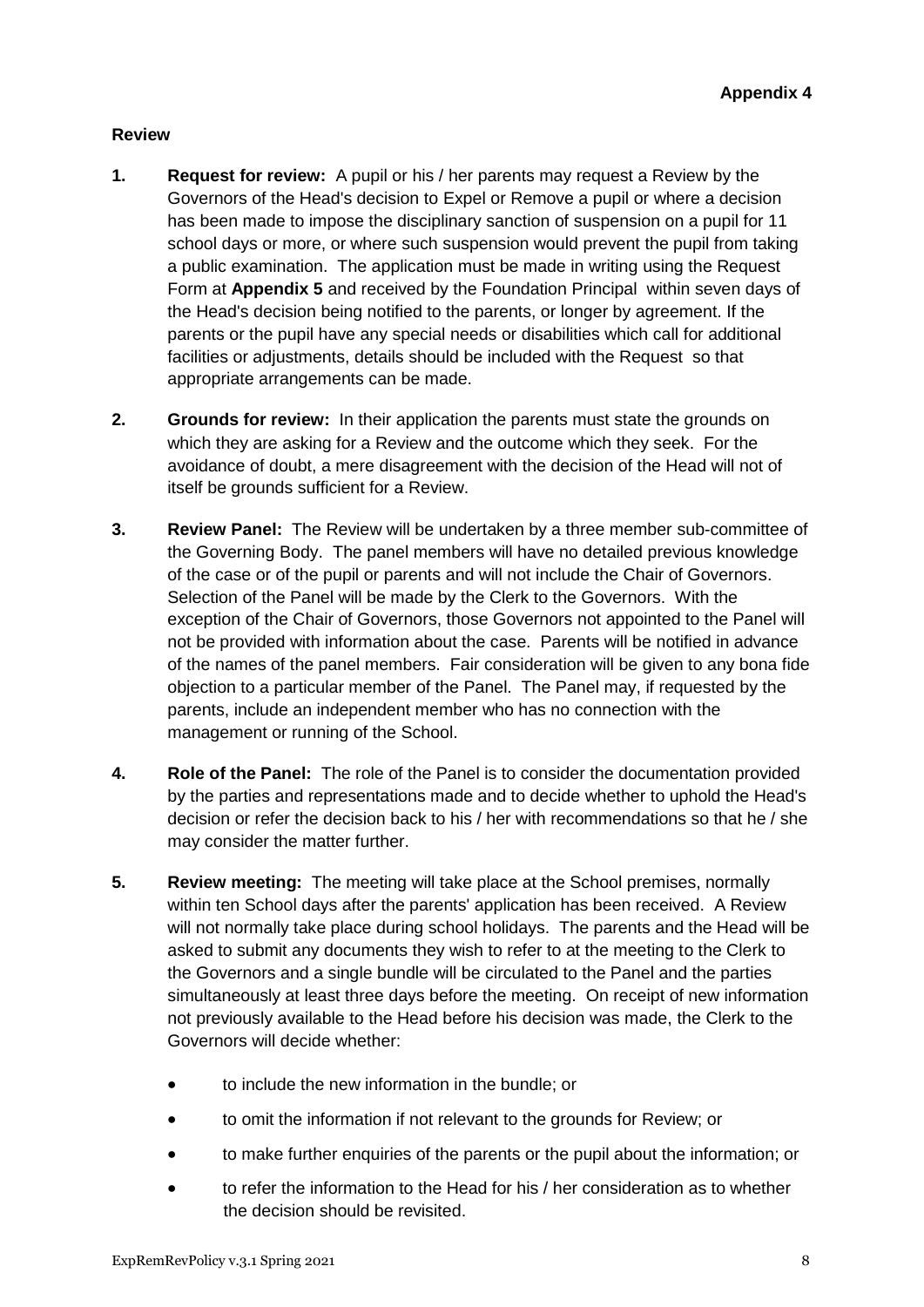## **Review**

- **1. Request for review:** A pupil or his / her parents may request a Review by the Governors of the Head's decision to Expel or Remove a pupil or where a decision has been made to impose the disciplinary sanction of suspension on a pupil for 11 school days or more, or where such suspension would prevent the pupil from taking a public examination. The application must be made in writing using the Request Form at **Appendix 5** and received by the Foundation Principal within seven days of the Head's decision being notified to the parents, or longer by agreement. If the parents or the pupil have any special needs or disabilities which call for additional facilities or adjustments, details should be included with the Request so that appropriate arrangements can be made.
- **2. Grounds for review:** In their application the parents must state the grounds on which they are asking for a Review and the outcome which they seek. For the avoidance of doubt, a mere disagreement with the decision of the Head will not of itself be grounds sufficient for a Review.
- **3. Review Panel:** The Review will be undertaken by a three member sub-committee of the Governing Body. The panel members will have no detailed previous knowledge of the case or of the pupil or parents and will not include the Chair of Governors. Selection of the Panel will be made by the Clerk to the Governors. With the exception of the Chair of Governors, those Governors not appointed to the Panel will not be provided with information about the case. Parents will be notified in advance of the names of the panel members. Fair consideration will be given to any bona fide objection to a particular member of the Panel. The Panel may, if requested by the parents, include an independent member who has no connection with the management or running of the School.
- **4. Role of the Panel:** The role of the Panel is to consider the documentation provided by the parties and representations made and to decide whether to uphold the Head's decision or refer the decision back to his / her with recommendations so that he / she may consider the matter further.
- **5. Review meeting:** The meeting will take place at the School premises, normally within ten School days after the parents' application has been received. A Review will not normally take place during school holidays. The parents and the Head will be asked to submit any documents they wish to refer to at the meeting to the Clerk to the Governors and a single bundle will be circulated to the Panel and the parties simultaneously at least three days before the meeting. On receipt of new information not previously available to the Head before his decision was made, the Clerk to the Governors will decide whether:
	- to include the new information in the bundle; or
	- to omit the information if not relevant to the grounds for Review; or
	- to make further enquiries of the parents or the pupil about the information; or
	- to refer the information to the Head for his / her consideration as to whether the decision should be revisited.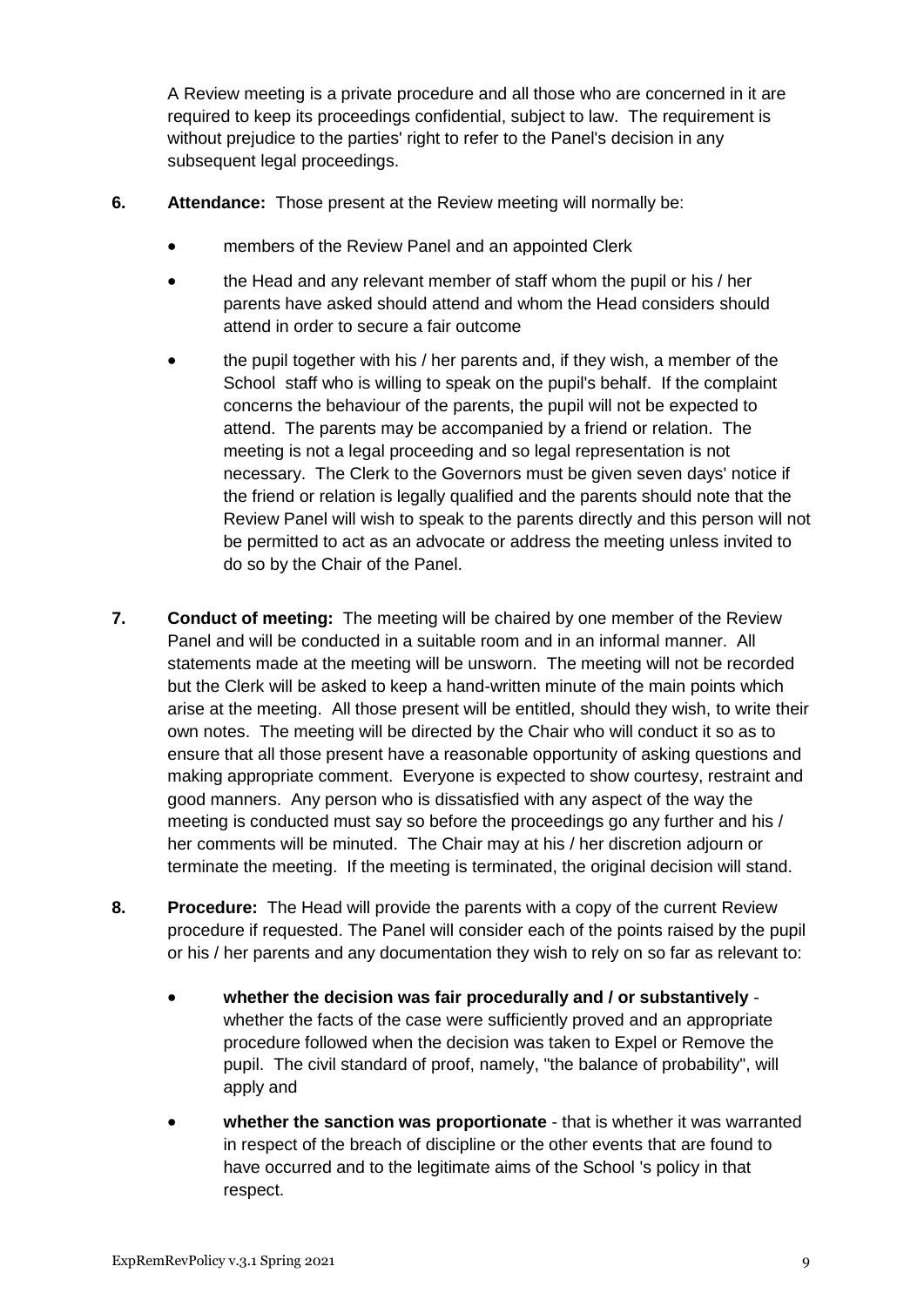A Review meeting is a private procedure and all those who are concerned in it are required to keep its proceedings confidential, subject to law. The requirement is without prejudice to the parties' right to refer to the Panel's decision in any subsequent legal proceedings.

- **6. Attendance:** Those present at the Review meeting will normally be:
	- members of the Review Panel and an appointed Clerk
	- the Head and any relevant member of staff whom the pupil or his / her parents have asked should attend and whom the Head considers should attend in order to secure a fair outcome
	- the pupil together with his / her parents and, if they wish, a member of the School staff who is willing to speak on the pupil's behalf. If the complaint concerns the behaviour of the parents, the pupil will not be expected to attend. The parents may be accompanied by a friend or relation. The meeting is not a legal proceeding and so legal representation is not necessary. The Clerk to the Governors must be given seven days' notice if the friend or relation is legally qualified and the parents should note that the Review Panel will wish to speak to the parents directly and this person will not be permitted to act as an advocate or address the meeting unless invited to do so by the Chair of the Panel.
- **7. Conduct of meeting:** The meeting will be chaired by one member of the Review Panel and will be conducted in a suitable room and in an informal manner. All statements made at the meeting will be unsworn. The meeting will not be recorded but the Clerk will be asked to keep a hand-written minute of the main points which arise at the meeting. All those present will be entitled, should they wish, to write their own notes. The meeting will be directed by the Chair who will conduct it so as to ensure that all those present have a reasonable opportunity of asking questions and making appropriate comment. Everyone is expected to show courtesy, restraint and good manners. Any person who is dissatisfied with any aspect of the way the meeting is conducted must say so before the proceedings go any further and his / her comments will be minuted. The Chair may at his / her discretion adjourn or terminate the meeting. If the meeting is terminated, the original decision will stand.
- **8. Procedure:** The Head will provide the parents with a copy of the current Review procedure if requested. The Panel will consider each of the points raised by the pupil or his / her parents and any documentation they wish to rely on so far as relevant to:
	- **whether the decision was fair procedurally and / or substantively** whether the facts of the case were sufficiently proved and an appropriate procedure followed when the decision was taken to Expel or Remove the pupil. The civil standard of proof, namely, "the balance of probability", will apply and
	- **whether the sanction was proportionate**  that is whether it was warranted in respect of the breach of discipline or the other events that are found to have occurred and to the legitimate aims of the School 's policy in that respect.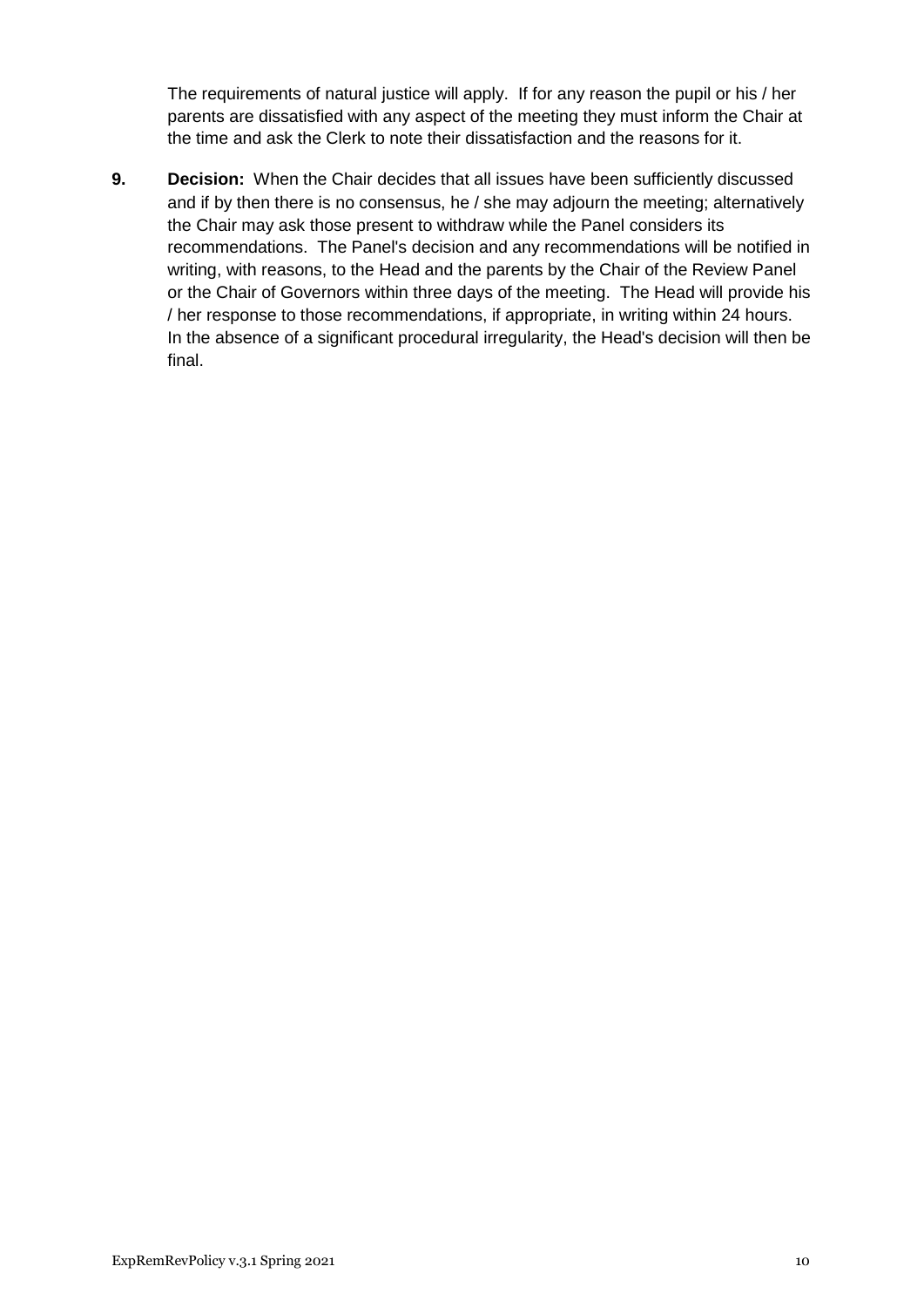The requirements of natural justice will apply. If for any reason the pupil or his / her parents are dissatisfied with any aspect of the meeting they must inform the Chair at the time and ask the Clerk to note their dissatisfaction and the reasons for it.

**9. Decision:** When the Chair decides that all issues have been sufficiently discussed and if by then there is no consensus, he / she may adjourn the meeting; alternatively the Chair may ask those present to withdraw while the Panel considers its recommendations. The Panel's decision and any recommendations will be notified in writing, with reasons, to the Head and the parents by the Chair of the Review Panel or the Chair of Governors within three days of the meeting. The Head will provide his / her response to those recommendations, if appropriate, in writing within 24 hours. In the absence of a significant procedural irregularity, the Head's decision will then be final.